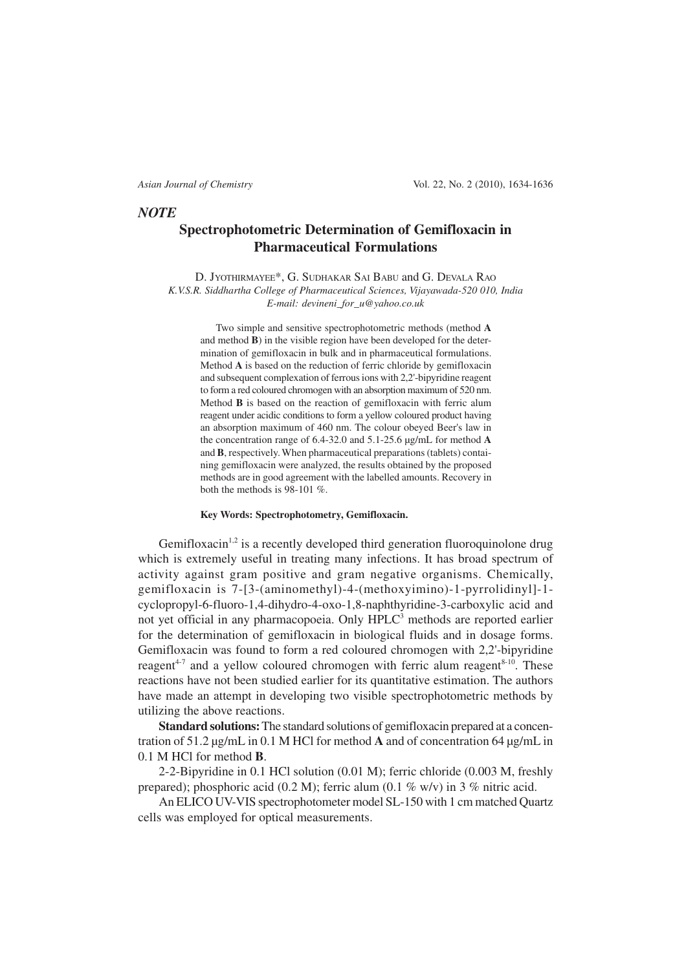### *NOTE*

# **Spectrophotometric Determination of Gemifloxacin in Pharmaceutical Formulations**

D. JYOTHIRMAYEE\*, G. SUDHAKAR SAI BABU and G. DEVALA RAO *K.V.S.R. Siddhartha College of Pharmaceutical Sciences, Vijayawada-520 010, India E-mail: devineni\_for\_u@yahoo.co.uk*

Two simple and sensitive spectrophotometric methods (method **A** and method **B**) in the visible region have been developed for the determination of gemifloxacin in bulk and in pharmaceutical formulations. Method **A** is based on the reduction of ferric chloride by gemifloxacin and subsequent complexation of ferrous ions with 2,2'-bipyridine reagent to form a red coloured chromogen with an absorption maximum of 520 nm. Method **B** is based on the reaction of gemifloxacin with ferric alum reagent under acidic conditions to form a yellow coloured product having an absorption maximum of 460 nm. The colour obeyed Beer's law in the concentration range of 6.4-32.0 and 5.1-25.6 µg/mL for method **A** and **B**, respectively. When pharmaceutical preparations (tablets) containing gemifloxacin were analyzed, the results obtained by the proposed methods are in good agreement with the labelled amounts. Recovery in both the methods is 98-101 %.

### **Key Words: Spectrophotometry, Gemifloxacin.**

Gemifloxacin<sup>1,2</sup> is a recently developed third generation fluoroquinolone drug which is extremely useful in treating many infections. It has broad spectrum of activity against gram positive and gram negative organisms. Chemically, gemifloxacin is 7-[3-(aminomethyl)-4-(methoxyimino)-1-pyrrolidinyl]-1 cyclopropyl-6-fluoro-1,4-dihydro-4-oxo-1,8-naphthyridine-3-carboxylic acid and not yet official in any pharmacopoeia. Only HPLC<sup>3</sup> methods are reported earlier for the determination of gemifloxacin in biological fluids and in dosage forms. Gemifloxacin was found to form a red coloured chromogen with 2,2'-bipyridine reagent<sup> $4-7$ </sup> and a yellow coloured chromogen with ferric alum reagent $8-10$ . These reactions have not been studied earlier for its quantitative estimation. The authors have made an attempt in developing two visible spectrophotometric methods by utilizing the above reactions.

**Standard solutions:** The standard solutions of gemifloxacin prepared at a concentration of 51.2 µg/mL in 0.1 M HCl for method **A** and of concentration 64 µg/mL in 0.1 M HCl for method **B**.

2-2-Bipyridine in 0.1 HCl solution (0.01 M); ferric chloride (0.003 M, freshly prepared); phosphoric acid (0.2 M); ferric alum (0.1 % w/v) in 3 % nitric acid.

An ELICO UV-VIS spectrophotometer model SL-150 with 1 cm matched Quartz cells was employed for optical measurements.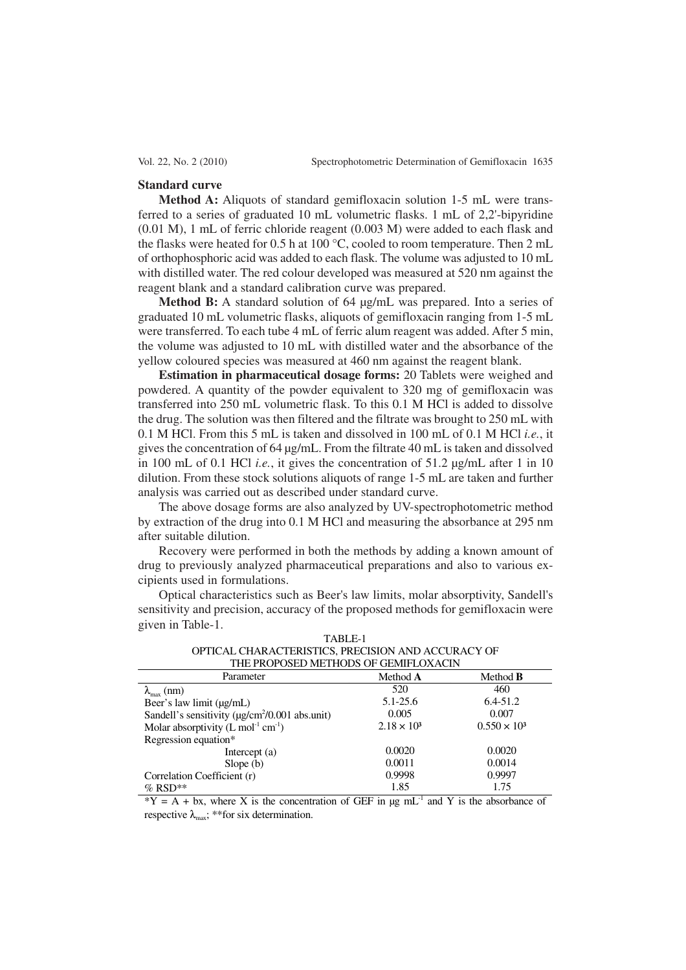### **Standard curve**

**Method A:** Aliquots of standard gemifloxacin solution 1-5 mL were transferred to a series of graduated 10 mL volumetric flasks. 1 mL of 2,2'-bipyridine (0.01 M), 1 mL of ferric chloride reagent (0.003 M) were added to each flask and the flasks were heated for 0.5 h at 100 °C, cooled to room temperature. Then 2 mL of orthophosphoric acid was added to each flask. The volume was adjusted to 10 mL with distilled water. The red colour developed was measured at 520 nm against the reagent blank and a standard calibration curve was prepared.

**Method B:** A standard solution of 64 µg/mL was prepared. Into a series of graduated 10 mL volumetric flasks, aliquots of gemifloxacin ranging from 1-5 mL were transferred. To each tube 4 mL of ferric alum reagent was added. After 5 min, the volume was adjusted to 10 mL with distilled water and the absorbance of the yellow coloured species was measured at 460 nm against the reagent blank.

**Estimation in pharmaceutical dosage forms:** 20 Tablets were weighed and powdered. A quantity of the powder equivalent to 320 mg of gemifloxacin was transferred into 250 mL volumetric flask. To this 0.1 M HCl is added to dissolve the drug. The solution was then filtered and the filtrate was brought to 250 mL with 0.1 M HCl. From this 5 mL is taken and dissolved in 100 mL of 0.1 M HCl *i.e.*, it gives the concentration of 64 µg/mL. From the filtrate 40 mL is taken and dissolved in 100 mL of 0.1 HCl *i.e.*, it gives the concentration of 51.2 µg/mL after 1 in 10 dilution. From these stock solutions aliquots of range 1-5 mL are taken and further analysis was carried out as described under standard curve.

The above dosage forms are also analyzed by UV-spectrophotometric method by extraction of the drug into 0.1 M HCl and measuring the absorbance at 295 nm after suitable dilution.

Recovery were performed in both the methods by adding a known amount of drug to previously analyzed pharmaceutical preparations and also to various excipients used in formulations.

Optical characteristics such as Beer's law limits, molar absorptivity, Sandell's sensitivity and precision, accuracy of the proposed methods for gemifloxacin were given in Table-1. TABLE-1

| TABLE-L                                            |  |  |  |  |  |
|----------------------------------------------------|--|--|--|--|--|
| OPTICAL CHARACTERISTICS, PRECISION AND ACCURACY OF |  |  |  |  |  |
| THE PROPOSED METHODS OF GEMIFLOXACIN               |  |  |  |  |  |

| THE FIVOL OSED INETHRODS OF SERVIN EQAMPLE                       |                    |                     |
|------------------------------------------------------------------|--------------------|---------------------|
| Parameter                                                        | Method A           | Method <b>B</b>     |
| $\lambda_{\text{max}}$ (nm)                                      | 520                | 460                 |
| Beer's law limit (µg/mL)                                         | $5.1 - 25.6$       | $6.4 - 51.2$        |
| Sandell's sensitivity ( $\mu$ g/cm <sup>2</sup> /0.001 abs.unit) | 0.005              | 0.007               |
| Molar absorptivity $(L \text{ mol}^{-1} \text{ cm}^{-1})$        | $2.18 \times 10^3$ | $0.550 \times 10^3$ |
| Regression equation*                                             |                    |                     |
| Intercept $(a)$                                                  | 0.0020             | 0.0020              |
| Slope $(b)$                                                      | 0.0011             | 0.0014              |
| Correlation Coefficient (r)                                      | 0.9998             | 0.9997              |
| $%$ RSD**                                                        | 1.85               | 1.75                |

 $*Y = A + bx$ , where X is the concentration of GEF in ug mL<sup>-1</sup> and Y is the absorbance of respective  $\lambda_{\text{max}}$ ; \*\*for six determination.